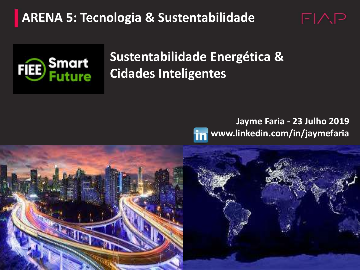**ARENA 5: Tecnologia & Sustentabilidade**



### **Sustentabilidade Energética & Cidades Inteligentes**

### **Jayme Faria - 23 Julho 2019 www.linkedin.com/in/jaymefaria**

 $F\mathsf{I}\wedge P$ 

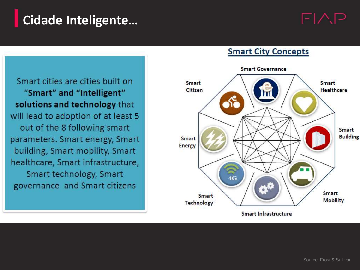### **Cidade Inteligente…**



Smart cities are cities built on "Smart" and "Intelligent" solutions and technology that will lead to adoption of at least 5 out of the 8 following smart parameters. Smart energy, Smart building, Smart mobility, Smart healthcare, Smart infrastructure, Smart technology, Smart governance and Smart citizens



#### **Smart City Concepts**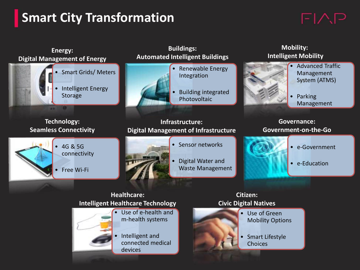# **Smart City Transformation**

# $F|\triangle P$

| Energy:<br><b>Digital Management of Energy</b>                           | <b>Buildings:</b><br><b>Automated Intelligent Buildings</b>                                | <b>Mobility:</b><br><b>Intelligent Mobility</b>                                     |
|--------------------------------------------------------------------------|--------------------------------------------------------------------------------------------|-------------------------------------------------------------------------------------|
| <b>Smart Grids/Meters</b><br><b>Intelligent Energy</b><br><b>Storage</b> | Renewable Energy<br>Integration<br><b>Building integrated</b><br>Photovoltaic              | <b>Advanced Traffic</b><br>Management<br>System (ATMS)<br>Parking<br>Management     |
| <b>Technology:</b><br><b>Seamless Connectivity</b>                       | Infrastructure:<br><b>Digital Management of Infrastructure</b>                             | <b>Governance:</b><br>Government-on-the-Go                                          |
| • 4G & 5G<br>connectivity<br>Free Wi-Fi                                  | Sensor networks<br>Digital Water and<br><b>Waste Management</b>                            | • e-Government<br>• e-Education                                                     |
|                                                                          | <b>Healthcare:</b><br><b>Intelligent Healthcare Technology</b>                             | Citizen:<br><b>Civic Digital Natives</b>                                            |
|                                                                          | Use of e-health and<br>m-health systems<br>Intelligent and<br>connected medical<br>devices | Use of Green<br><b>Mobility Options</b><br><b>Smart Lifestyle</b><br><b>Choices</b> |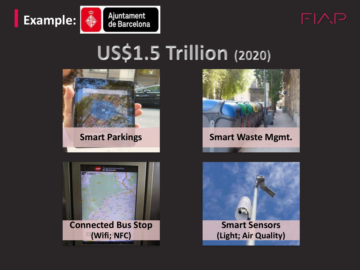



# **US\$1.5 Trillion (2020)**





**Connected Bus Stop (Wifi; NFC)**



**TEMPLE 2 Smart Parkings Smart Waste Mgmt.** 

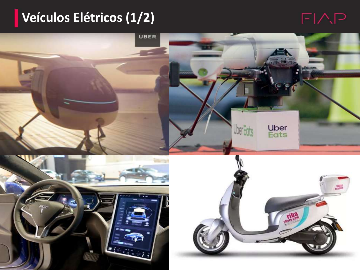## **Veículos Elétricos (1/2)**

### $FAP$

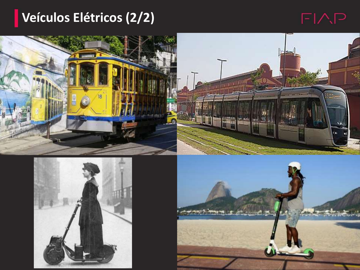## **Veículos Elétricos (2/2)**









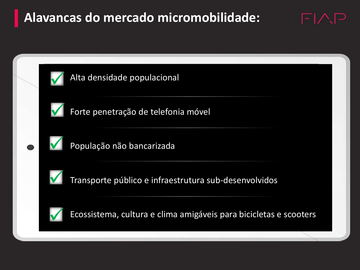### **Alavancas do mercado micromobilidade:**



 $\boxdot\wedge\Box$